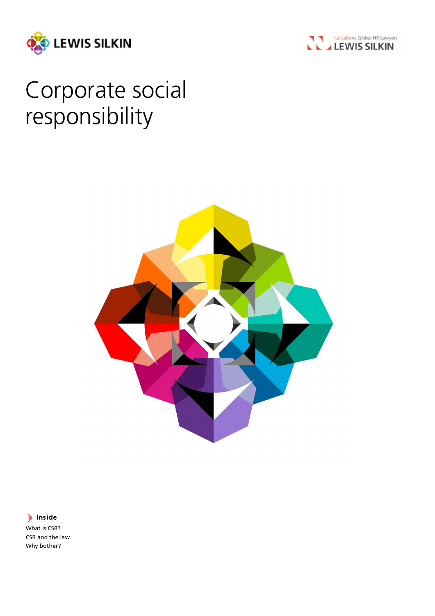



# Corporate social responsibility



# Inside

What is CSR? CSR and the law Why bother?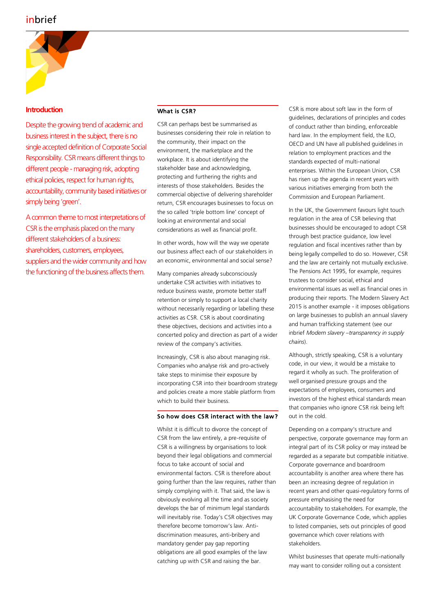

# **Introduction**

Despite the growing trend of academic and business interest in the subject, there is no single accepted definition of Corporate Social Responsibility. CSR means different things to different people - managing risk, adopting ethical policies, respect for human rights, accountability, community based initiatives or simply being 'green'.

A common theme to most interpretations of CSR is the emphasis placed on the many different stakeholders of a business: shareholders, customers, employees, suppliers and the wider community and how the functioning of the business affects them.

## What is CSR?

CSR can perhaps best be summarised as businesses considering their role in relation to the community, their impact on the environment, the marketplace and the workplace. It is about identifying the stakeholder base and acknowledging, protecting and furthering the rights and interests of those stakeholders. Besides the commercial objective of delivering shareholder return, CSR encourages businesses to focus on the so called 'triple bottom line' concept of looking at environmental and social considerations as well as financial profit.

In other words, how will the way we operate our business affect each of our stakeholders in an economic, environmental and social sense?

Many companies already subconsciously undertake CSR activities with initiatives to reduce business waste, promote better staff retention or simply to support a local charity without necessarily regarding or labelling these activities as CSR. CSR is about coordinating these objectives, decisions and activities into a concerted policy and direction as part of a wider review of the company's activities.

Increasingly, CSR is also about managing risk. Companies who analyse risk and pro-actively take steps to minimise their exposure by incorporating CSR into their boardroom strategy and policies create a more stable platform from which to build their business.

# So how does CSR interact with the law?

Whilst it is difficult to divorce the concept of CSR from the law entirely, a pre-requisite of CSR is a willingness by organisations to look beyond their legal obligations and commercial focus to take account of social and environmental factors. CSR is therefore about going further than the law requires, rather than simply complying with it. That said, the law is obviously evolving all the time and as society develops the bar of minimum legal standards will inevitably rise. Today's CSR objectives may therefore become tomorrow's law. Antidiscrimination measures, anti-bribery and mandatory gender pay gap reporting obligations are all good examples of the law catching up with CSR and raising the bar.

CSR is more about soft law in the form of guidelines, declarations of principles and codes of conduct rather than binding, enforceable hard law. In the employment field, the ILO, OECD and UN have all published guidelines in relation to employment practices and the standards expected of multi-national enterprises. Within the European Union, CSR has risen up the agenda in recent years with various initiatives emerging from both the Commission and European Parliament.

In the UK, the Government favours light touch regulation in the area of CSR believing that businesses should be encouraged to adopt CSR through best practice guidance, low level regulation and fiscal incentives rather than by being legally compelled to do so. However, CSR and the law are certainly not mutually exclusive. The Pensions Act 1995, for example, requires trustees to consider social, ethical and environmental issues as well as financial ones in producing their reports. The Modern Slavery Act 2015 is another example - it imposes obligations on large businesses to publish an annual slavery and human trafficking statement (see our inbrief *Modern slavery –transparency in supply chains*).

Although, strictly speaking, CSR is a voluntary code, in our view, it would be a mistake to regard it wholly as such. The proliferation of well organised pressure groups and the expectations of employees, consumers and investors of the highest ethical standards mean that companies who ignore CSR risk being left out in the cold.

Depending on a company's structure and perspective, corporate governance may form an integral part of its CSR policy or may instead be regarded as a separate but compatible initiative. Corporate governance and boardroom accountability is another area where there has been an increasing degree of regulation in recent years and other quasi-regulatory forms of pressure emphasising the need for accountability to stakeholders. For example, the UK Corporate Governance Code, which applies to listed companies, sets out principles of good governance which cover relations with stakeholders.

Whilst businesses that operate multi-nationally may want to consider rolling out a consistent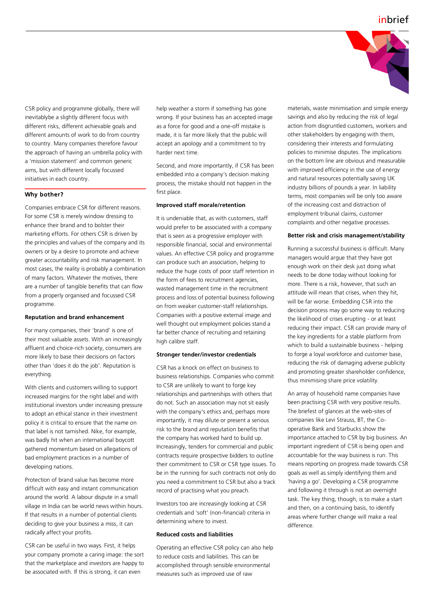

CSR policy and programme globally, there will inevitablybe a slightly different focus with different risks, different achievable goals and different amounts of work to do from country to country. Many companies therefore favour the approach of having an umbrella policy with a 'mission statement' and common generic aims, but with different locally focussed initiatives in each country.

### Why bother?

Companies embrace CSR for different reasons. For some CSR is merely window dressing to enhance their brand and to bolster their marketing efforts. For others CSR is driven by the principles and values of the company and its owners or by a desire to promote and achieve greater accountability and risk management. In most cases, the reality is probably a combination of many factors. Whatever the motives, there are a number of tangible benefits that can flow from a properly organised and focussed CSR programme.

#### **Reputation and brand enhancement**

For many companies, their 'brand' is one of their most valuable assets. With an increasingly affluent and choice-rich society, consumers are more likely to base their decisions on factors other than 'does it do the job'. Reputation is everything.

With clients and customers willing to support increased margins for the right label and with institutional investors under increasing pressure to adopt an ethical stance in their investment policy it is critical to ensure that the name on that label is not tarnished. Nike, for example, was badly hit when an international boycott gathered momentum based on allegations of bad employment practices in a number of developing nations.

Protection of brand value has become more difficult with easy and instant communication around the world. A labour dispute in a small village in India can be world news within hours. If that results in a number of potential clients deciding to give your business a miss, it can radically affect your profits.

CSR can be useful in two ways. First, it helps your company promote a caring image: the sort that the marketplace and investors are happy to be associated with. If this is strong, it can even

help weather a storm if something has gone wrong. If your business has an accepted image as a force for good and a one-off mistake is made, it is far more likely that the public will accept an apology and a commitment to try harder next time.

Second, and more importantly, if CSR has been embedded into a company's decision making process, the mistake should not happen in the first place.

#### **Improved staff morale/retention**

It is undeniable that, as with customers, staff would prefer to be associated with a company that is seen as a progressive employer with responsible financial, social and environmental values. An effective CSR policy and programme can produce such an association, helping to reduce the huge costs of poor staff retention in the form of fees to recruitment agencies, wasted management time in the recruitment process and loss of potential business following on from weaker customer-staff relationships. Companies with a positive external image and well thought out employment policies stand a far better chance of recruiting and retaining high calibre staff.

#### **Stronger tender/investor credentials**

CSR has a knock on effect on business to business relationships. Companies who commit to CSR are unlikely to want to forge key relationships and partnerships with others that do not. Such an association may not sit easily with the company's ethics and, perhaps more importantly, it may dilute or present a serious risk to the brand and reputation benefits that the company has worked hard to build up. Increasingly, tenders for commercial and public contracts require prospective bidders to outline their commitment to CSR or CSR type issues. To be in the running for such contracts not only do you need a commitment to CSR but also a track record of practising what you preach.

Investors too are increasingly looking at CSR credentials and 'soft' (non-financial) criteria in determining where to invest.

#### **Reduced costs and liabilities**

Operating an effective CSR policy can also help to reduce costs and liabilities. This can be accomplished through sensible environmental measures such as improved use of raw

materials, waste minimisation and simple energy savings and also by reducing the risk of legal action from disgruntled customers, workers and other stakeholders by engaging with them, considering their interests and formulating policies to minimise disputes. The implications on the bottom line are obvious and measurable with improved efficiency in the use of energy and natural resources potentially saving UK industry billions of pounds a year. In liability terms, most companies will be only too aware of the increasing cost and distraction of employment tribunal claims, customer complaints and other negative processes.

#### **Better risk and crisis management/stability**

Running a successful business is difficult. Many managers would argue that they have got enough work on their desk just doing what needs to be done today without looking for more. There is a risk, however, that such an attitude will mean that crises, when they hit, will be far worse. Embedding CSR into the decision process may go some way to reducing the likelihood of crises erupting - or at least reducing their impact. CSR can provide many of the key ingredients for a stable platform from which to build a sustainable business - helping to forge a loyal workforce and customer base, reducing the risk of damaging adverse publicity and promoting greater shareholder confidence, thus minimising share price volatility.

An array of household name companies have been practising CSR with very positive results. The briefest of glances at the web-sites of companies like Levi Strauss, BT, the Cooperative Bank and Starbucks show the importance attached to CSR by big business. An important ingredient of CSR is being open and accountable for the way business is run. This means reporting on progress made towards CSR goals as well as simply identifying them and 'having a go'. Developing a CSR programme and following it through is not an overnight task. The key thing, though, is to make a start and then, on a continuing basis, to identify areas where further change will make a real difference.